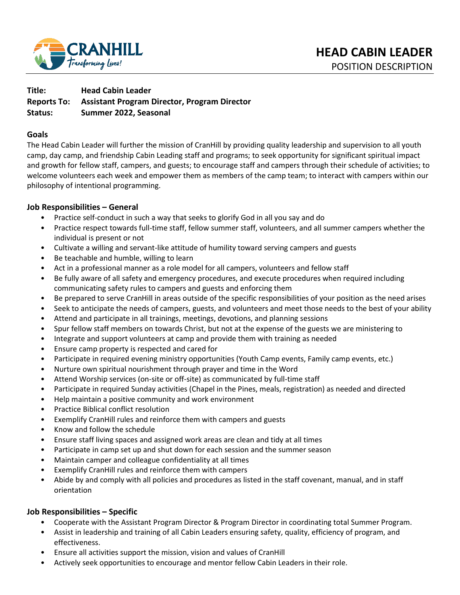

# **Title: Head Cabin Leader Reports To: Assistant Program Director, Program Director Status: Summer 2022, Seasonal**

### **Goals**

The Head Cabin Leader will further the mission of CranHill by providing quality leadership and supervision to all youth camp, day camp, and friendship Cabin Leading staff and programs; to seek opportunity for significant spiritual impact and growth for fellow staff, campers, and guests; to encourage staff and campers through their schedule of activities; to welcome volunteers each week and empower them as members of the camp team; to interact with campers within our philosophy of intentional programming.

## **Job Responsibilities – General**

- Practice self-conduct in such a way that seeks to glorify God in all you say and do
- Practice respect towards full-time staff, fellow summer staff, volunteers, and all summer campers whether the individual is present or not
- Cultivate a willing and servant-like attitude of humility toward serving campers and guests
- Be teachable and humble, willing to learn
- Act in a professional manner as a role model for all campers, volunteers and fellow staff
- Be fully aware of all safety and emergency procedures, and execute procedures when required including communicating safety rules to campers and guests and enforcing them
- Be prepared to serve CranHill in areas outside of the specific responsibilities of your position as the need arises
- Seek to anticipate the needs of campers, guests, and volunteers and meet those needs to the best of your ability
- Attend and participate in all trainings, meetings, devotions, and planning sessions
- Spur fellow staff members on towards Christ, but not at the expense of the guests we are ministering to
- Integrate and support volunteers at camp and provide them with training as needed
- Ensure camp property is respected and cared for
- Participate in required evening ministry opportunities (Youth Camp events, Family camp events, etc.)
- Nurture own spiritual nourishment through prayer and time in the Word
- Attend Worship services (on-site or off-site) as communicated by full-time staff
- Participate in required Sunday activities (Chapel in the Pines, meals, registration) as needed and directed
- Help maintain a positive community and work environment
- Practice Biblical conflict resolution
- Exemplify CranHill rules and reinforce them with campers and guests
- Know and follow the schedule
- Ensure staff living spaces and assigned work areas are clean and tidy at all times
- Participate in camp set up and shut down for each session and the summer season
- Maintain camper and colleague confidentiality at all times
- Exemplify CranHill rules and reinforce them with campers
- Abide by and comply with all policies and procedures as listed in the staff covenant, manual, and in staff orientation

## **Job Responsibilities – Specific**

- Cooperate with the Assistant Program Director & Program Director in coordinating total Summer Program.
- Assist in leadership and training of all Cabin Leaders ensuring safety, quality, efficiency of program, and effectiveness.
- Ensure all activities support the mission, vision and values of CranHill
- Actively seek opportunities to encourage and mentor fellow Cabin Leaders in their role.